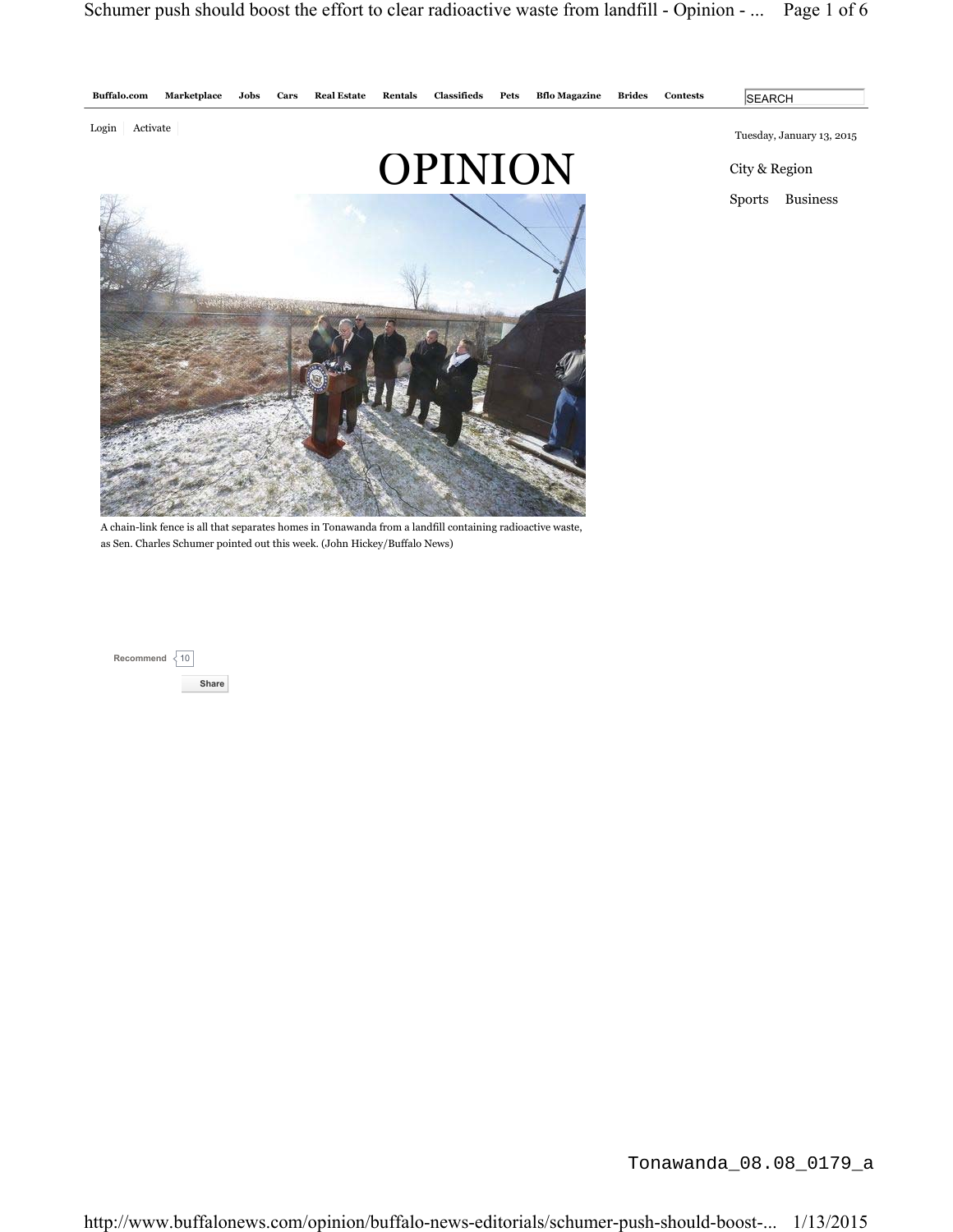

**SEARCH** 

Sports Business

Tonawanda\_08.08\_0179\_a